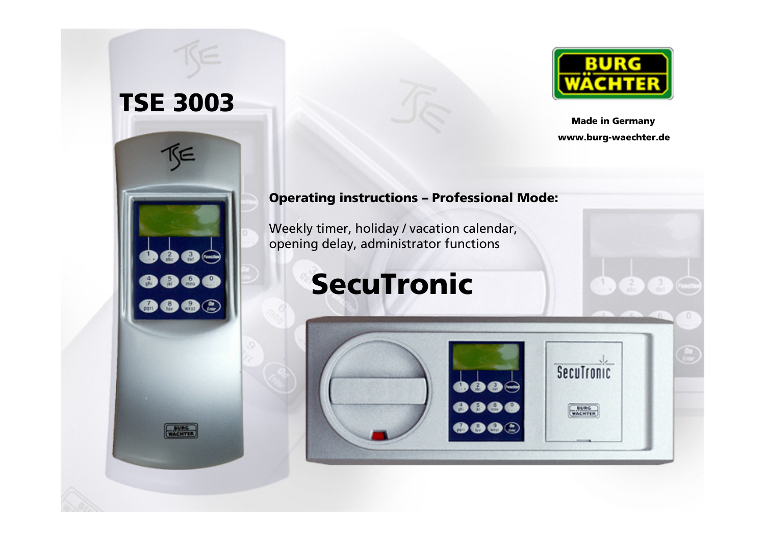



Made in Germanywww.burg-waechter.de

 $\frac{1}{\sqrt{2}}\left(\frac{2}{\sqrt{2}}\right)\left(\frac{3}{\sqrt{2}}\right)$ 

#### Operating instructions – Professional Mode:

Weekly timer, holiday / vacation calendar,opening delay, administrator functions

# SecuTronic

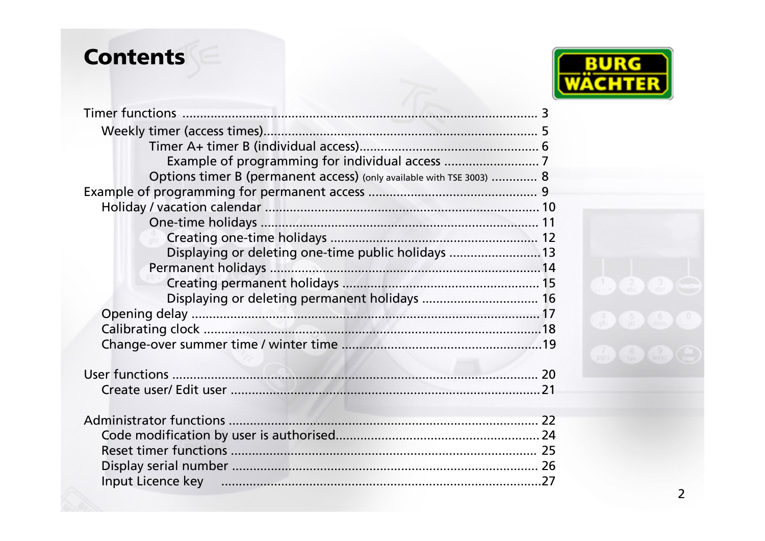## **Contents**



| Options timer B (permanent access) (only available with TSE 3003)  8 |  |
|----------------------------------------------------------------------|--|
|                                                                      |  |
|                                                                      |  |
|                                                                      |  |
|                                                                      |  |
| Displaying or deleting one-time public holidays  13                  |  |
|                                                                      |  |
|                                                                      |  |
| Displaying or deleting permanent holidays  16                        |  |
|                                                                      |  |
|                                                                      |  |
|                                                                      |  |
|                                                                      |  |
|                                                                      |  |
|                                                                      |  |
|                                                                      |  |
|                                                                      |  |
|                                                                      |  |
|                                                                      |  |
|                                                                      |  |
| Input Licence key manufactured and the control of the 27             |  |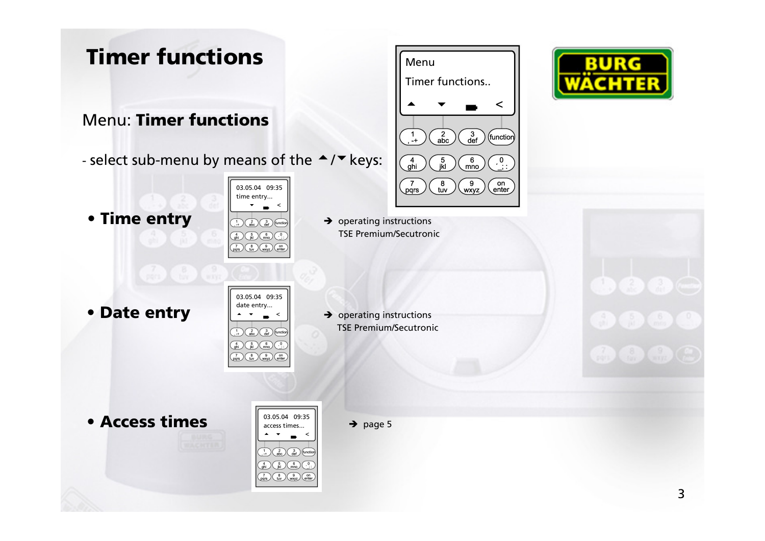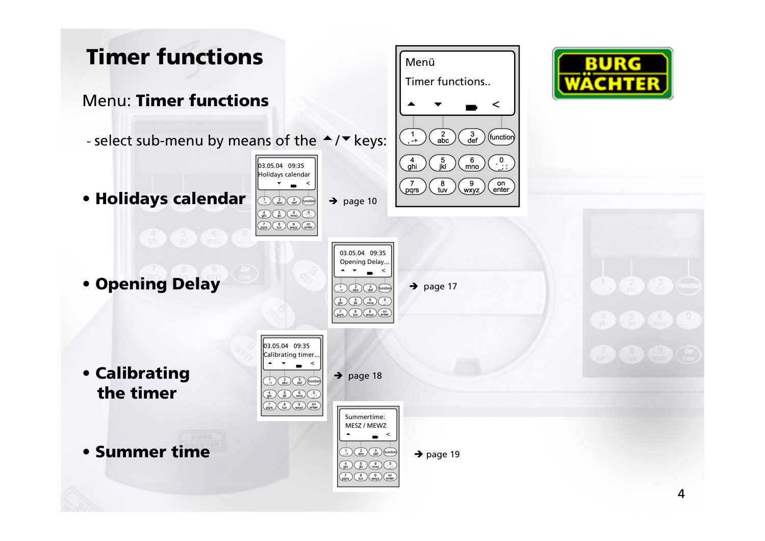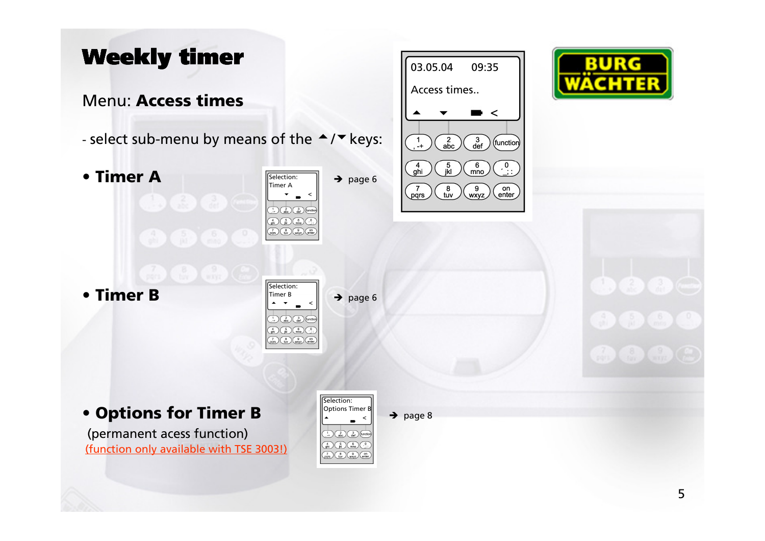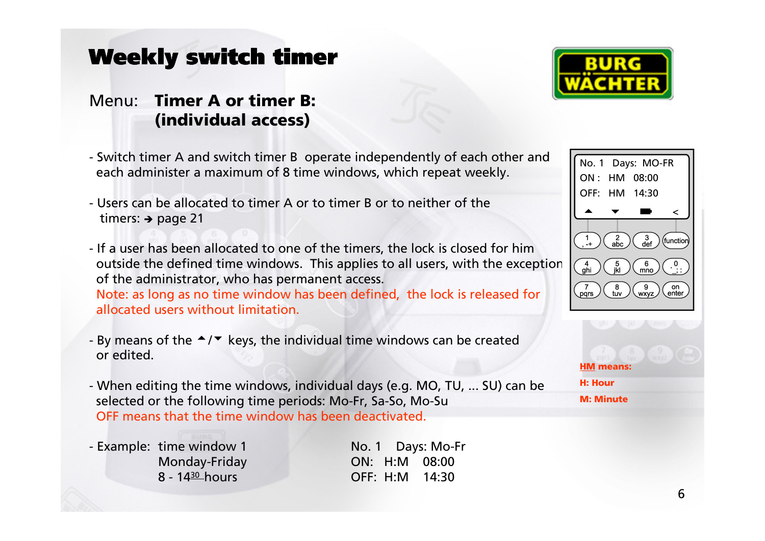#### Menu: Timer A or timer B: (individual access)

- Switch timer A and switch timer B operate independently of each other andeach administer a maximum of 8 time windows, which repeat weekly.
- Users can be allocated to timer A or to timer B or to neither of the timers:  $\rightarrow$  page 21
- If a user has been allocated to one of the timers, the lock is closed for him outside the defined time windows. This applies to all users, with the exceptionof the administrator, who has permanent access.Note: as long as no time window has been defined, the lock is released for allocated users without limitation.
- By means of the  $\triangleq/\triangleq$  keys, the individual time windows can be created or edited or edited.
- When editing the time windows, individual days (e.g. MO, TU, ... SU) can beselected or the following time periods: Mo-Fr, Sa-So, Mo-SuOFF means that the time window has been deactivated.
- Example: time window 1 No. 1 Days: Mo-Fr

Monday-Friday **ON: H:M 08:00**<br>8 - 14<sup>30</sup> hours **OFF: H:M 14:30** 8 - <sup>14</sup><sup>30</sup>hours OFF: H:M 14:30





<u>HM</u> means: H: HourM: Minute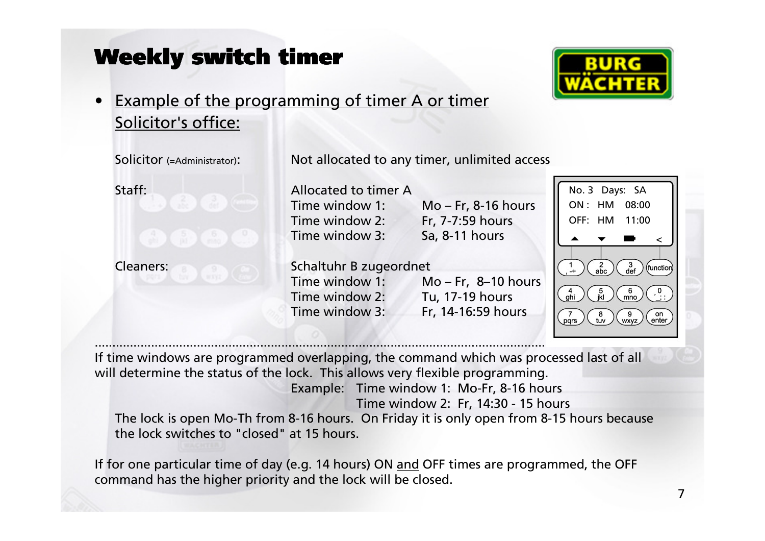

### • Example of the programming of timer A or timer Solicitor's office:

| Solicitor (=Administrator):                      |                                                                              | Not allocated to any timer, unlimited access                   |                                                                                                      |
|--------------------------------------------------|------------------------------------------------------------------------------|----------------------------------------------------------------|------------------------------------------------------------------------------------------------------|
| Staff:                                           | Allocated to timer A<br>Time window 1:<br>Time window 2:<br>Time window 3:   | $Mo - Fr$ , 8-16 hours<br>Fr, 7-7:59 hours<br>Sa, 8-11 hours   | No. 3 Days: SA<br>ON:HM<br>08:00<br>OFF: HM<br>11:00                                                 |
| <b>Cleaners:</b><br><b>LWAYE</b><br>ped you have | Schaltuhr B zugeordnet<br>Time window 1:<br>Time window 2:<br>Time window 3: | $Mo - Fr, 8-10 hours$<br>Tu, 17-19 hours<br>Fr, 14-16:59 hours | $\frac{3}{\text{def}}$<br>(function<br>$\frac{5}{\mathsf{ikl}}$<br>mno<br>on<br>enter<br><b>WXVZ</b> |

 If time windows are programmed overlapping, the command which was processed last of allwill determine the status of the lock. This allows very flexible programming. Example: Time window 1: Mo-Fr, 8-16 hours Time window 2: Fr, 14:30 - 15 hours The lock is open Mo-Th from 8-16 hours. On Friday it is only open from 8-15 hours becausethe lock switches to "closed" at 15 hours.

...............................................................................................................................................

If for one particular time of day (e.g. 14 hours) ON and OFF times are programmed, the OFF command has the higher priority and the lock will be closed.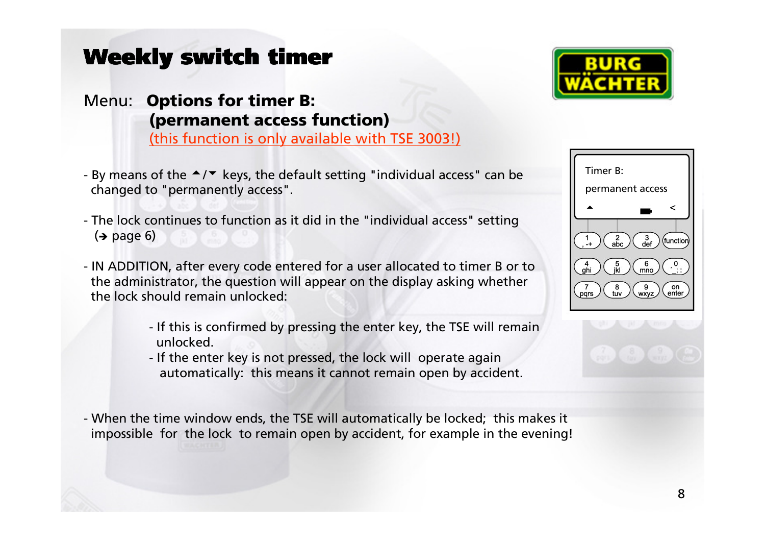## Menu: Options for timer B: (permanent access function)

(this function is only available with TSE 3003!)

- By means of the  $\triangleq/\triangleq$  keys, the default setting "individual access" can be<br>changed to "permanently access" changed to "permanently access".
- The lock continues to function as it did in the "individual access" setting (**→** page 6)
- IN ADDITION, after every code entered for a user allocated to timer B or to the administrator, the question will appear on the display asking whetherthe lock should remain unlocked:
	- If this is confirmed by pressing the enter key, the TSE will remainunlocked.
	- If the enter key is not pressed, the lock will operate againautomatically: this means it cannot remain open by accident.

- When the time window ends, the TSE will automatically be locked; this makes it impossible for the lock to remain open by accident, for example in the evening!



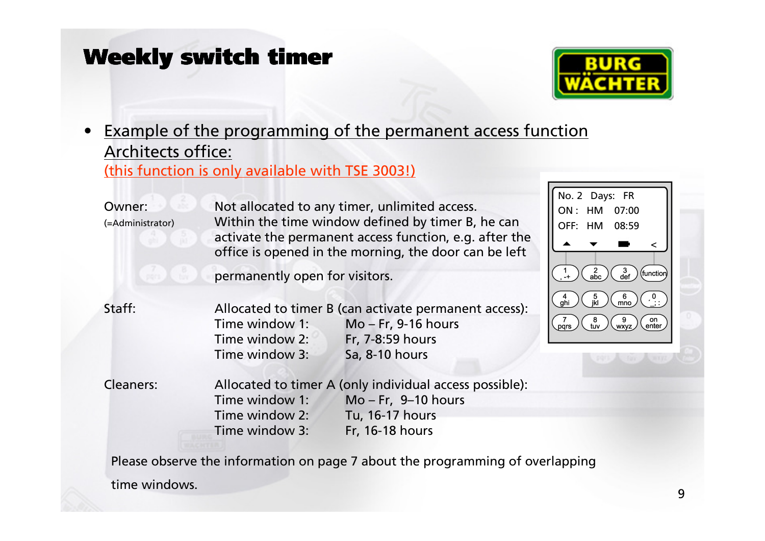

#### • Example of the programming of the permanent access functionArchitects office:(this function is only available with TSE 3003!)

| Owner:<br>(=Administrator) | Not allocated to any timer, unlimited access.<br>Within the time window defined by timer B, he can<br>activate the permanent access function, e.g. after the<br>office is opened in the morning, the door can be left |                                                                                                                        | No. 2 Days: FR<br>07:00<br>ON: HM<br>08:59<br>OFF: HM                                       |
|----------------------------|-----------------------------------------------------------------------------------------------------------------------------------------------------------------------------------------------------------------------|------------------------------------------------------------------------------------------------------------------------|---------------------------------------------------------------------------------------------|
|                            | permanently open for visitors.                                                                                                                                                                                        |                                                                                                                        | $\frac{3}{\text{def}}$                                                                      |
| Staff:                     | Time window 1:<br>Time window 2:<br>Time window 3:                                                                                                                                                                    | Allocated to timer B (can activate permanent access):<br>$Mo - Fr$ , 9-16 hours<br>Fr, 7-8:59 hours<br>Sa, 8-10 hours  | 6<br>$\frac{5}{ k }$<br>$\frac{4}{ghi}$<br>mno<br>on<br>enter<br>pqrs<br>tuv<br><b>WXVZ</b> |
| <b>Cleaners:</b>           | Time window 1:<br>Time window 2:<br>Time window 3:                                                                                                                                                                    | Allocated to timer A (only individual access possible):<br>$Mo - Fr, 9-10 hours$<br>Tu, 16-17 hours<br>Fr, 16-18 hours |                                                                                             |

Please observe the information on page 7 about the programming of overlapping

time windows.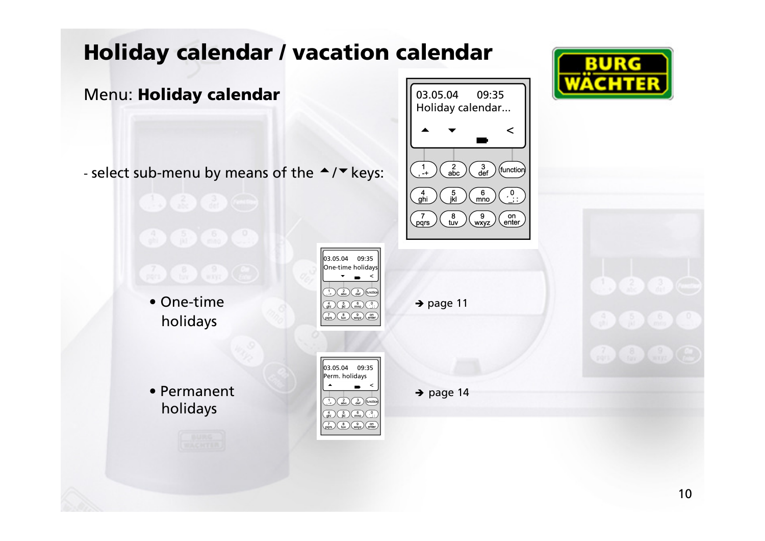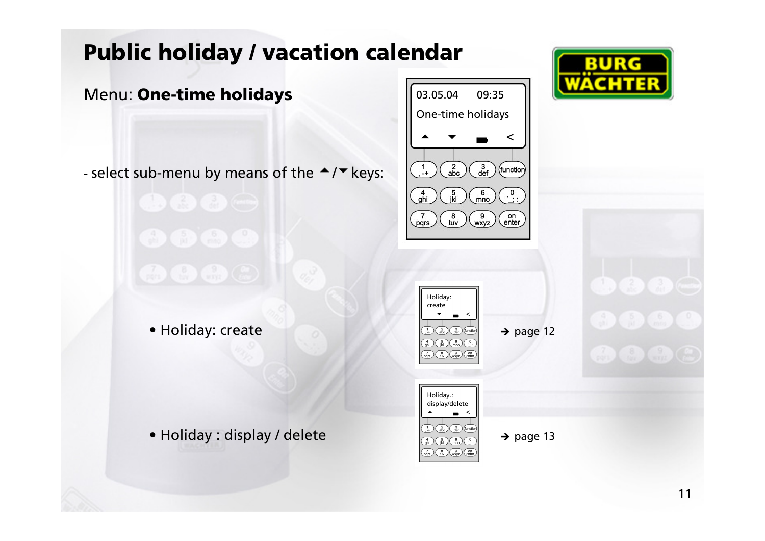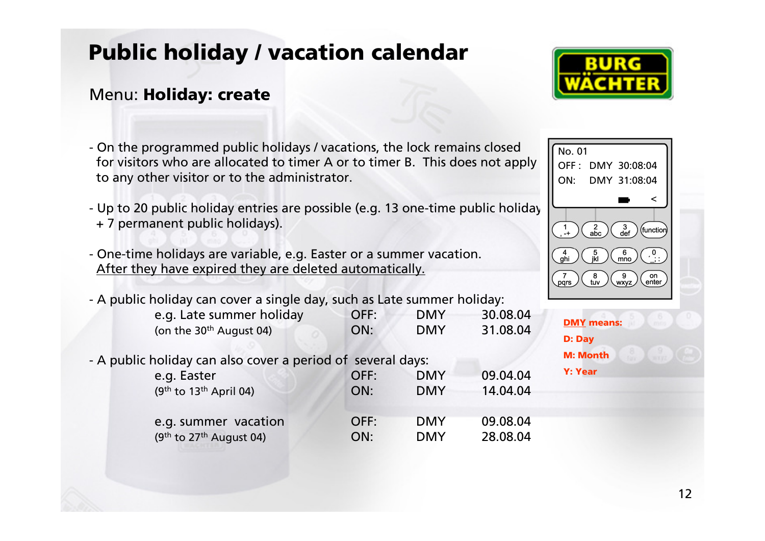# Public holiday / vacation calendar

#### Menu: **Holiday: create**

- On the programmed public holidays / vacations, the lock remains closed for visitors who are allocated to timer A or to timer B. This does not apply to any other visitor or to the administrator.
- Up to 20 public holiday entries are possible (e.g. 13 one-time public holiday + 7 permanent public holidays).
- One-time holidays are variable, e.g. Easter or a summer vacation. After they have expired they are deleted automatically.
- A public holiday can cover a single day, such as Late summer holiday:

| e.g. Late summer holiday  | OFF: | <b>DMY</b> | 30.08.04 |
|---------------------------|------|------------|----------|
| (on the $30th$ August 04) | ON:  | <b>DMY</b> | 31.08.04 |

- A public holiday can also cover a period of several days:

| e.g. Easter                           | OFF: | <b>DMY</b> | 09.04.04 |
|---------------------------------------|------|------------|----------|
| $(9th$ to 13 <sup>th</sup> April 04)  | ON:  | <b>DMY</b> | 14.04.04 |
| e.g. summer vacation                  | OFF: | <b>DMY</b> | 09.08.04 |
| $(9th$ to 27 <sup>th</sup> August 04) | ON:  | <b>DMY</b> | 28.08.04 |





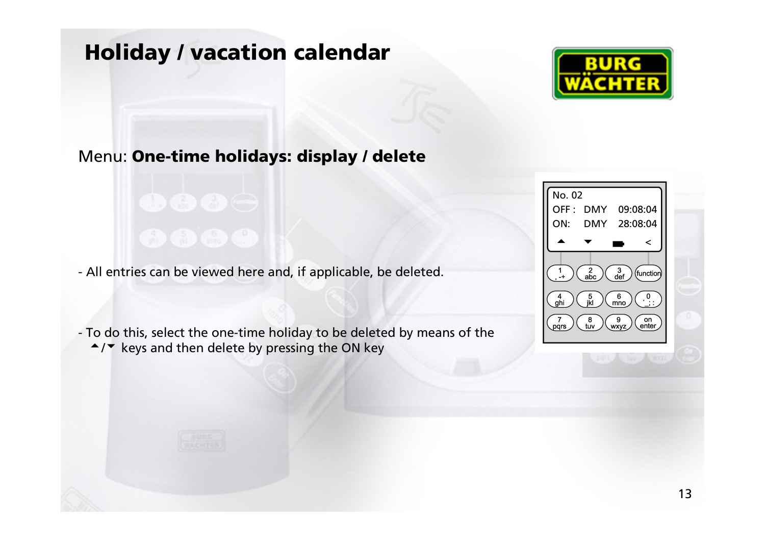## Holiday / vacation calendar



#### Menu: One-time holidays: display / delete

- All entries can be viewed here and, if applicable, be deleted.

- To do this, select the one-time holiday to be deleted by means of the $\blacktriangle$  / $\blacktriangledown$  keys and then delete by pressing the ON key

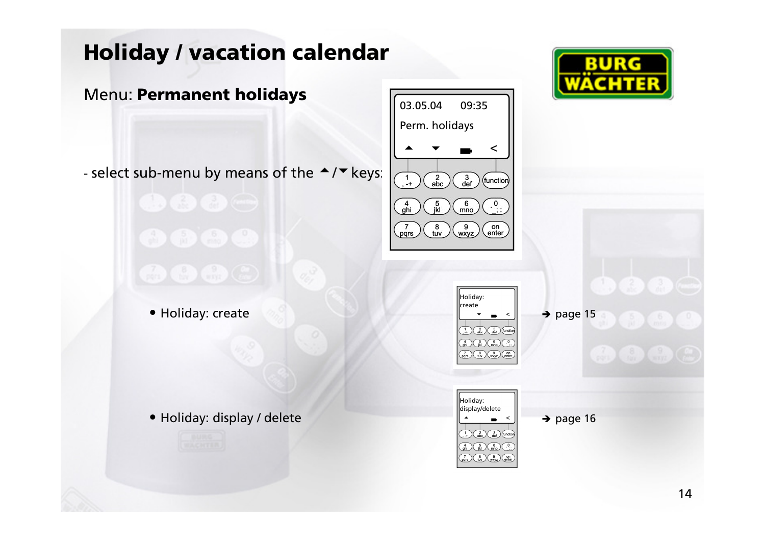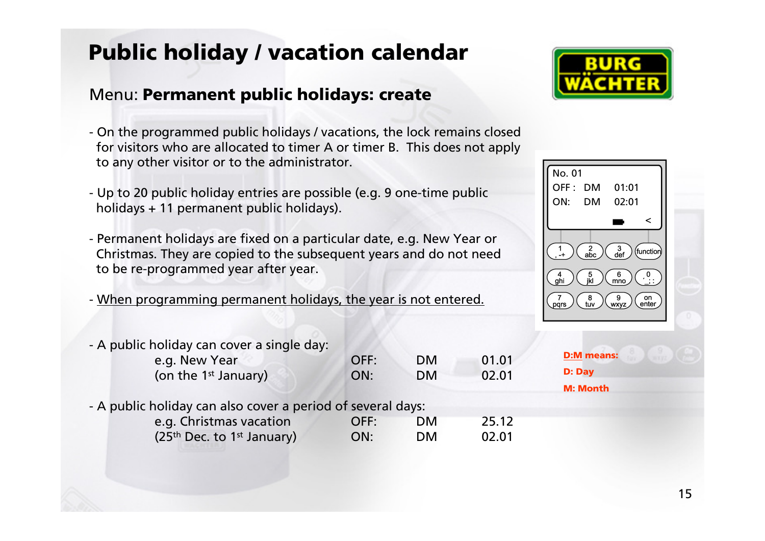# Public holiday / vacation calendar

#### Menu: Permanent public holidays: create

- On the programmed public holidays / vacations, the lock remains closed for visitors who are allocated to timer A or timer B. This does not applyto any other visitor or to the administrator.
- Up to 20 public holiday entries are possible (e.g. 9 one-time public holidays + 11 permanent public holidays).
- Permanent holidays are fixed on a particular date, e.g. New Year or Christmas. They are copied to the subsequent years and do not needto be re-programmed year after year.
- When programming permanent holidays, the year is not entered.





- A public holiday can cover a single day:

| OFF: | <b>DM</b> | 01.01                                                     |
|------|-----------|-----------------------------------------------------------|
| ON:  | <b>DM</b> | 02.01                                                     |
|      |           |                                                           |
|      |           |                                                           |
| OFF: | <b>DM</b> | 25.12                                                     |
| ON:  | <b>DM</b> | 02.01                                                     |
|      |           | A public holiday can also cover a period of several days: |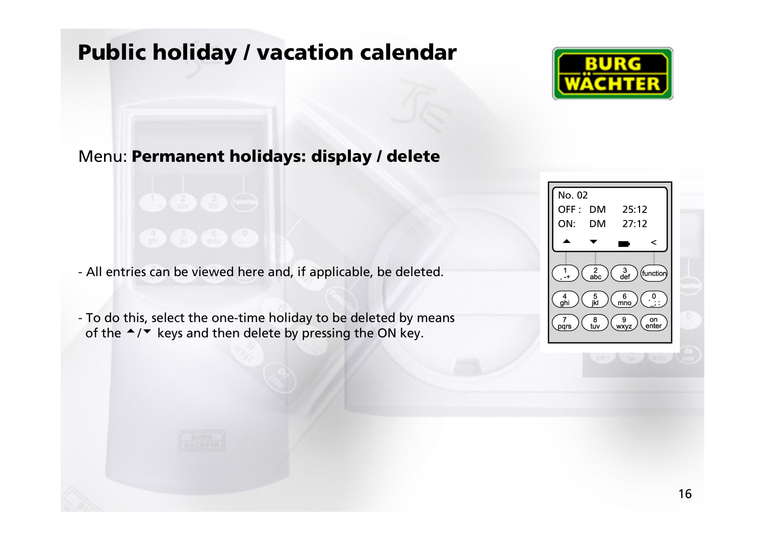# Public holiday / vacation calendar



#### Menu: Permanent holidays: display / delete

- All entries can be viewed here and, if applicable, be deleted.

- To do this, select the one-time holiday to be deleted by means of the  $\blacktriangle/\blacktriangledown$  keys and then delete by pressing the ON key.

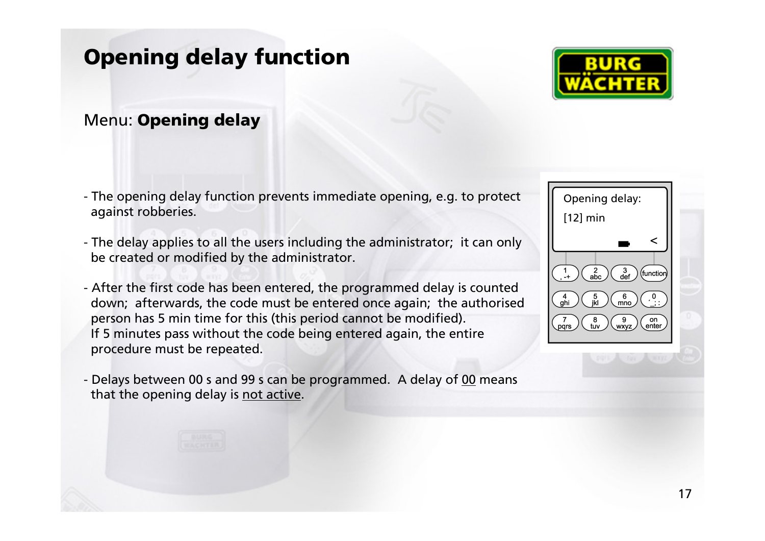## Opening delay function

#### Menu: Opening delay

- The opening delay function prevents immediate opening, e.g. to protect against robberies.
- The delay applies to all the users including the administrator; it can only be created or modified by the administrator.
- After the first code has been entered, the programmed delay is counted down; afterwards, the code must be entered once again; the authorisedperson has 5 min time for this (this period cannot be modified). If 5 minutes pass without the code being entered again, the entireprocedure must be repeated.
- Delays between 00 s and 99 s can be programmed. A delay of 00 means that the opening delay is not active.



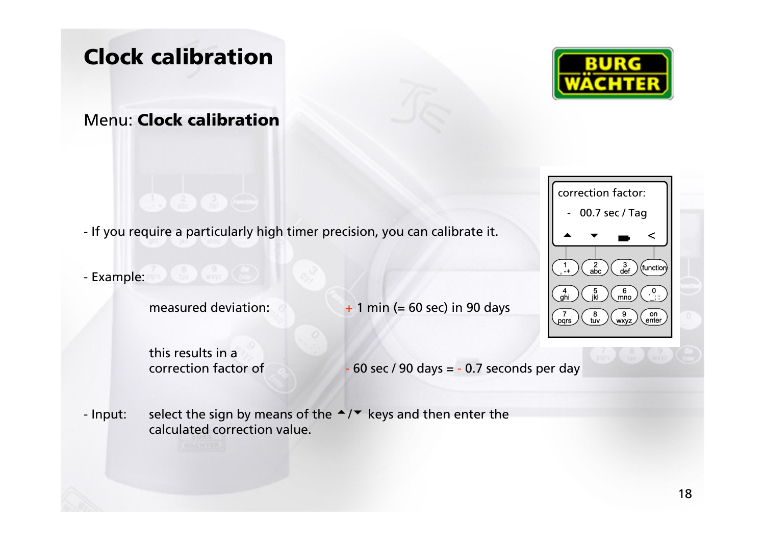## Clock calibration

#### Menu: Clock calibration





#### - <u>Example</u>:

measured deviation:

 $\sim$  0  $\sim$  +  $+$  1 min (= 60 sec) in 90 days

this results in a correction factor of

 $60$  sec / 90 days =  $-0.7$  seconds per day

#### - Input: Input: select the sign by means of the  $\rightarrow/\rightarrow$  keys and then enter the calculated correction value calculated correction value.

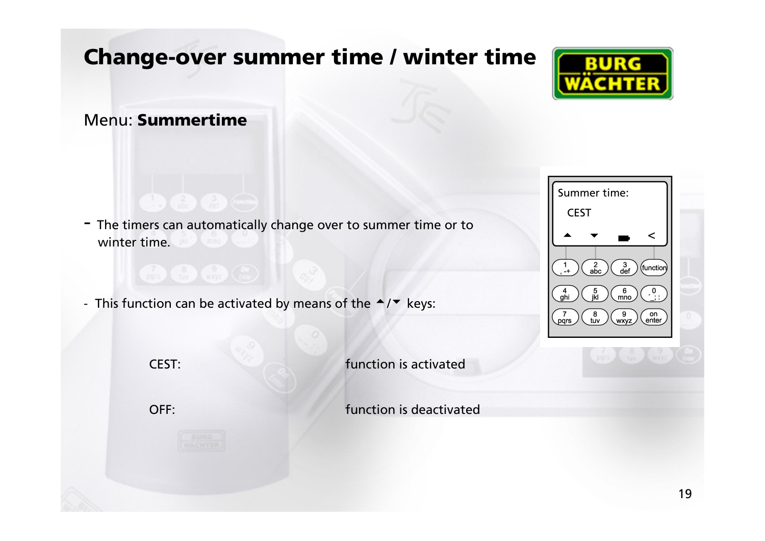# Change-over summer time / winter time



#### Menu: Summertime

- The timers can automatically change over to summer time or to winter time.
- This function can be activated by means of the  $\blacktriangle$ / $\blacktriangledown$  keys:



CEST: function is activated

OFF: function is deactivated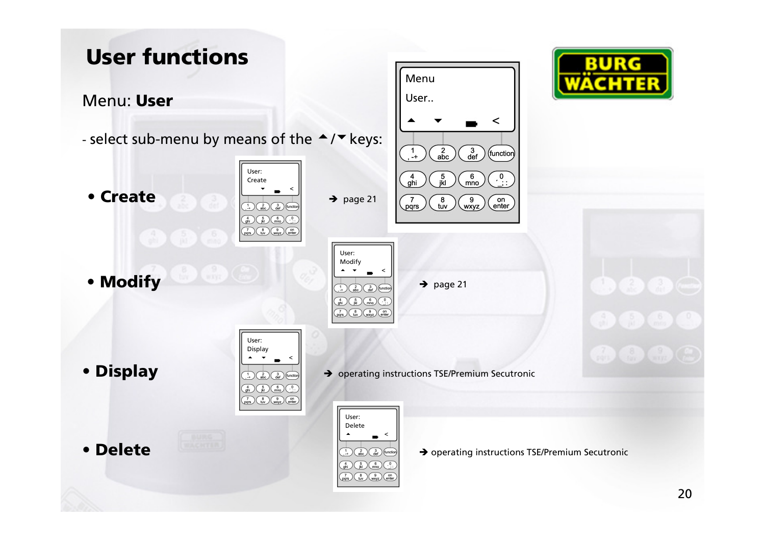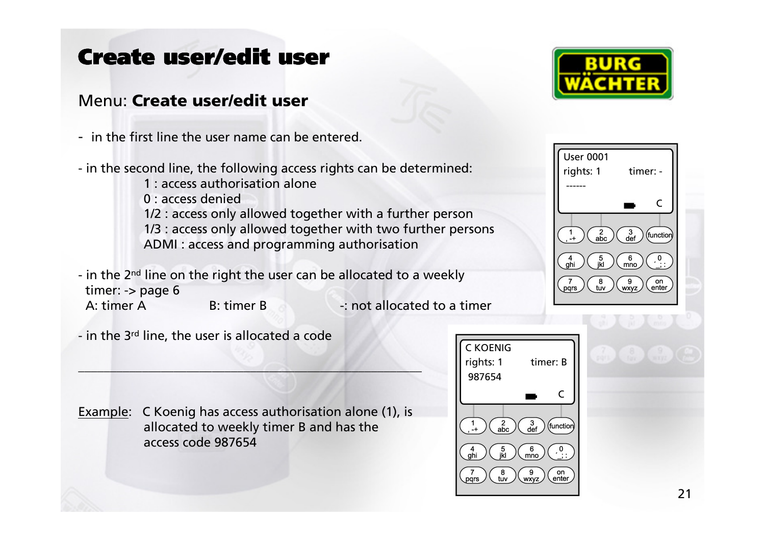# Create user/edit user

#### Menu: Create user/edit user

- in the first line the user name can be entered.





- in the second line, the following access rights can be determined:
	- 1 : access authorisation alone
	- 0 : access denied
	- 1/2 : access only allowed together with a further person
	- 1/3 : access only allowed together with two further persons
	- ADMI : access and programming authorisation
- in the 2<sup>nd</sup> line on the right the user can be allocated to a weekly timer:  $\rightarrow$  page 6
- 

- A: timer A B: timer B -: not allocated to a timer
- in the 3 $^{\text{rd}}$  line, the user is allocated a code

Example: C Koenig has access authorisation alone (1), isallocated to weekly timer B and has the access code 987654

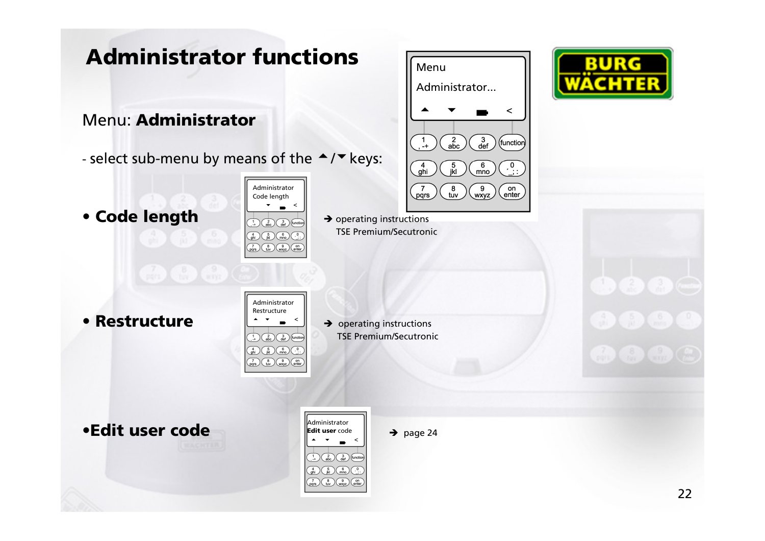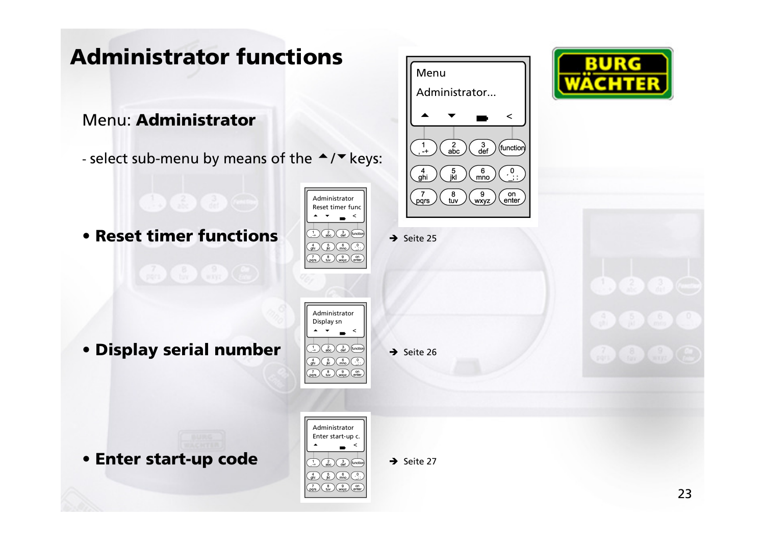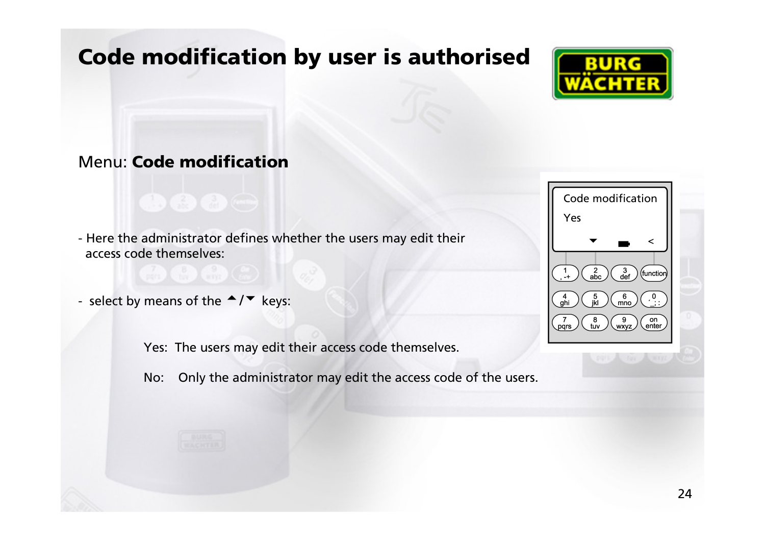## Code modification by user is authorised



#### Menu: Code modification

- Here the administrator defines whether the users may edit their access code themselves:

- select by means of the  $\blacktriangle/\blacktriangledown$  keys:

Yes: The users may edit their access code themselves.

No: Only the administrator may edit the access code of the users.

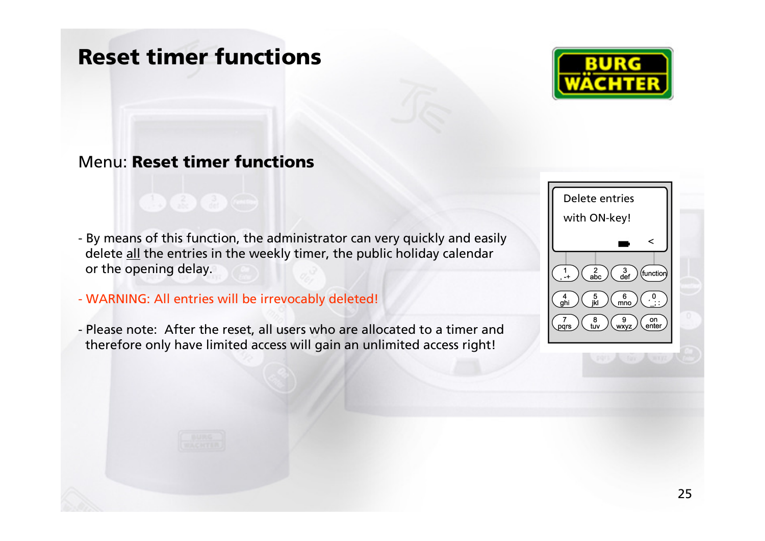### Reset timer functions



#### Menu: Reset timer functions

- By means of this function, the administrator can very quickly and easily delete <u>all</u> the entries in the weekly timer, the public holiday calendar or the opening delay.
- WARNING: All entries will be irrevocably deleted!
- Please note: After the reset, all users who are allocated to a timer andtherefore only have limited access will gain an unlimited access right!

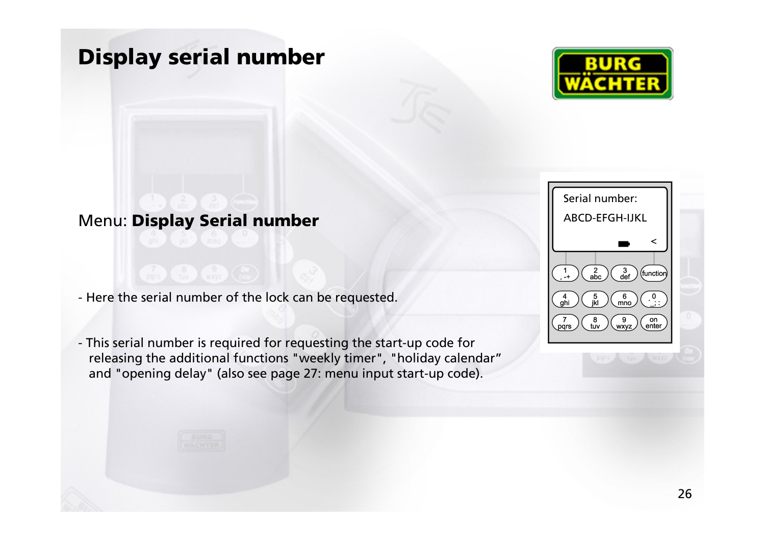### Display serial number



#### Menu: Display Serial number

- Here the serial number of the lock can be requested.

- This serial number is required for requesting the start-up code for releasing the additional functions "weekly timer", "holiday calendar"and "opening delay" (also see page 27: menu input start-up code).

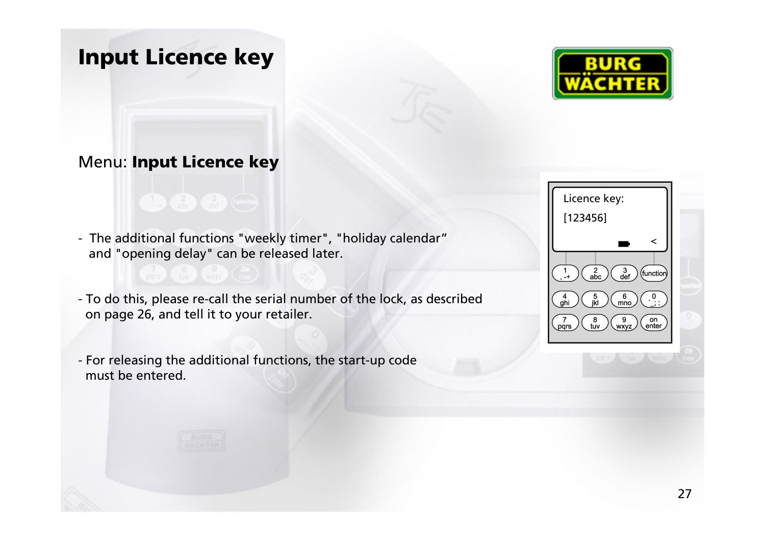Input Licence key



#### Menu: Input Licence key

- The additional functions "weekly timer", "holiday calendar"and "opening delay" can be released later.

- To do this, please re-call the serial number of the lock, as describedon page 26, and tell it to your retailer.

- For releasing the additional functions, the start-up codemust be entered.